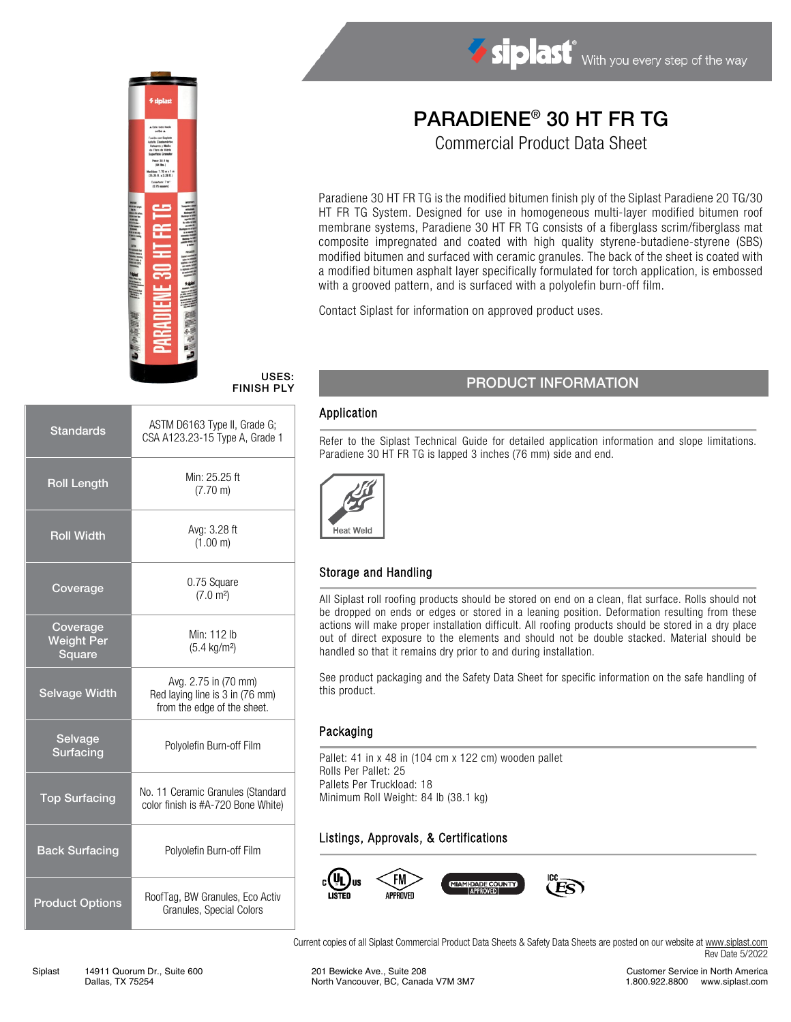

#### USES: FINISH PLY

| <b>Standards</b>                        | ASTM D6163 Type II, Grade G;<br>CSA A123.23-15 Type A, Grade 1                         |  |  |
|-----------------------------------------|----------------------------------------------------------------------------------------|--|--|
| <b>Roll Length</b>                      | Min: 25.25 ft<br>$(7.70 \text{ m})$                                                    |  |  |
| <b>Roll Width</b>                       | Avg: 3.28 ft<br>(1.00 m)                                                               |  |  |
| Coverage                                | 0.75 Square<br>(7.0 m <sup>2</sup> )                                                   |  |  |
| Coverage<br><b>Weight Per</b><br>Square | Min: 112 lb<br>$(5.4 \text{ kg/m}^2)$                                                  |  |  |
| <b>Selvage Width</b>                    | Avg. 2.75 in (70 mm)<br>Red laying line is 3 in (76 mm)<br>from the edge of the sheet. |  |  |
| Selvage<br>Surfacing                    | Polyolefin Burn-off Film                                                               |  |  |
| <b>Top Surfacing</b>                    | No. 11 Ceramic Granules (Standard<br>color finish is #A-720 Bone White)                |  |  |
| <b>Back Surfacing</b>                   | Polyolefin Burn-off Film                                                               |  |  |
| <b>Product Options</b>                  | RoofTag, BW Granules, Eco Activ<br>Granules, Special Colors                            |  |  |

# PARADIENE® 30 HT FR TG

Siplast With you every step of the way

Commercial Product Data Sheet

Paradiene 30 HT FR TG is the modified bitumen finish ply of the Siplast Paradiene 20 TG/30 HT FR TG System. Designed for use in homogeneous multi-layer modified bitumen roof membrane systems, Paradiene 30 HT FR TG consists of a fiberglass scrim/fiberglass mat composite impregnated and coated with high quality styrene-butadiene-styrene (SBS) modified bitumen and surfaced with ceramic granules. The back of the sheet is coated with a modified bitumen asphalt layer specifically formulated for torch application, is embossed with a grooved pattern, and is surfaced with a polyolefin burn-off film.

Contact Siplast for information on approved product uses.

# PRODUCT INFORMATION

#### Application

Refer to the Siplast Technical Guide for detailed application information and slope limitations. Paradiene 30 HT FR TG is lapped 3 inches (76 mm) side and end.



### Storage and Handling

All Siplast roll roofing products should be stored on end on a clean, flat surface. Rolls should not be dropped on ends or edges or stored in a leaning position. Deformation resulting from these actions will make proper installation difficult. All roofing products should be stored in a dry place out of direct exposure to the elements and should not be double stacked. Material should be handled so that it remains dry prior to and during installation.

See product packaging and the Safety Data Sheet for specific information on the safe handling of this product.

#### Packaging

Pallet: 41 in x 48 in (104 cm x 122 cm) wooden pallet Rolls Per Pallet: 25 Pallets Per Truckload: 18 Minimum Roll Weight: 84 lb (38.1 kg)

# Listings, Approvals, & Certifications



Current copies of all Siplast Commercial Product Data Sheets & Safety Data Sheets are posted on our website a[t www.siplast.com](http://www.siplast.com/) Rev Date 5/2022

Customer Service in North America 1.800.922.8800 www.siplast.com